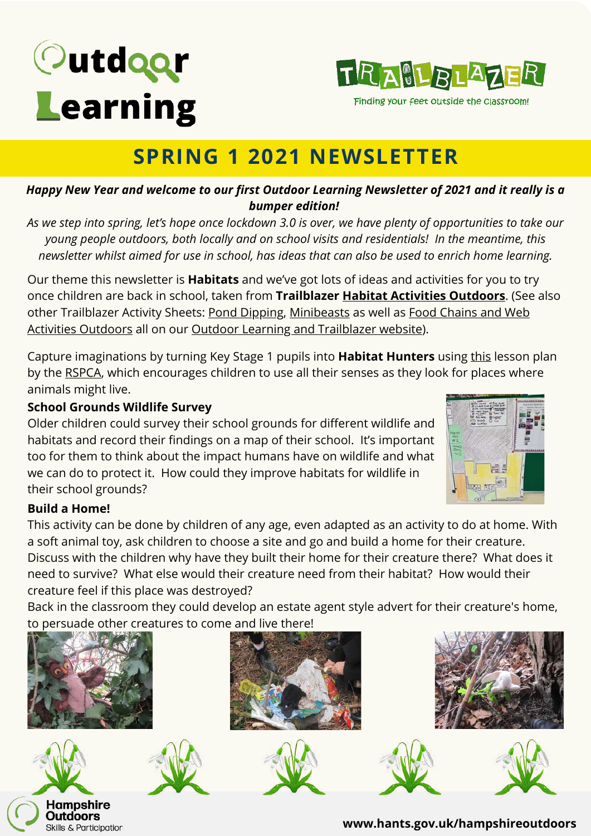# Outdoor Learning



Finding your feet outside the classroom!

## **SPRING 1 2021 NEWSLETTER**

#### *Happy New Year and welcome to our first Outdoor Learning Newsletter of 2021 and it really is a bumper edition!*

*As we step into spring, let's hope once lockdown 3.0 is over, we have plenty of opportunities to take our young people outdoors, both locally and on school visits and residentials! In the meantime, this newsletter whilst aimed for use in school, has ideas that can also be used to enrich home learning.*

Our theme this newsletter is **Habitats** and we've got lots of ideas and activities for you to try once children are back in school, taken from **Trailblazer Habitat Activities [Outdoors](https://documents.hants.gov.uk/education/trailblazer/HabitatActivitiesOutdoors.docx)**. (See also other Trailblazer Activity Sheets: Pond [Dipping,](https://documents.hants.gov.uk/education/trailblazer/Pond-Dipping.docx) [M](https://documents.hants.gov.uk/education/trailblazer/FoodChain-FoodWebActivities-Outdoors.docx)[inibeasts](http://documents.hants.gov.uk/education/trailblazer/Minibeasts.docx) as well as Food Chains and Web Activities Outdoors all on our Outdoor Learning and [Trailblazer](https://www.hants.gov.uk/educationandlearning/oe-pe-dofe/outdoor-education/trailblazer) website).

Capture imaginations by turning Key Stage 1 pupils into **Habitat Hunters** using [this](https://education.rspca.org.uk/education/teachers/primary/lessonplans/habitats/whatisahabitat) lesson plan by the [RSPCA](https://education.rspca.org.uk/education/home), which encourages children to use all their senses as they look for places where animals might live.

#### **School Grounds Wildlife Survey**

Older children could survey their school grounds for different wildlife and habitats and record their findings on a map of their school. It's important too for them to think about the impact humans have on wildlife and what we can do to protect it. How could they improve habitats for wildlife in their school grounds?



#### **Build a Home!**

This activity can be done by children of any age, even adapted as an activity to do at home. With a soft animal toy, ask children to choose a site and go and build a home for their creature. Discuss with the children why have they built their home for their creature there? What does it need to survive? What else would their creature need from their habitat? How would their creature feel if this place was destroyed?

Back in the classroom they could develop an estate agent style advert for their creature's home, to persuade other creatures to come and live there!











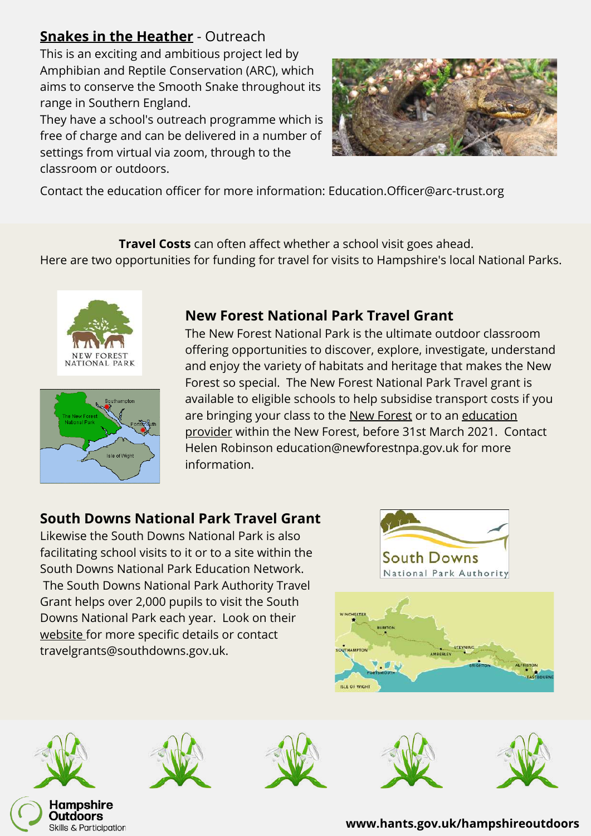#### **Snakes in the [Heather](https://www.arc-trust.org/snakes-in-the-heather)** - Outreach

This is an exciting and ambitious project led by Amphibian and Reptile Conservation (ARC), which aims to conserve the Smooth Snake throughout its range in Southern England.

They have a school's outreach programme which is free of charge and can be delivered in a number of settings from virtual via zoom, through to the classroom or outdoors.



Contact the education officer for more information: Education.Officer@arc-trust.org

**Travel Costs** can often affect whether a school visit goes ahead.

Here are two opportunities for funding for travel for visits to Hampshire's local National Parks.





#### **New Forest National Park Travel Grant**

The New Forest National Park is the ultimate outdoor classroom offering opportunities to discover, explore, investigate, understand and enjoy the variety of habitats and heritage that makes the New Forest so special. The New Forest National Park Travel grant is available to eligible schools to help subsidise transport costs if you [are bringing your class to the](https://www.newforestnpa.gov.uk/communities/young-people/schools-and-groups/education-providers/) [New Forest](https://www.newforestnpa.gov.uk/communities/young-people/schools-and-groups/our-education-service/) [or to an education](https://www.newforestnpa.gov.uk/communities/young-people/schools-and-groups/education-providers/) provider within the New Forest, before 31st March 2021. Contact Helen Robinson education@newforestnpa.gov.uk for more information.

#### **South Downs National Park Travel Grant**

Likewise the South Downs National Park is also facilitating school visits to it or to a site within the South Downs National Park Education Network. The South Downs National Park Authority Travel Grant helps over 2,000 pupils to visit the South Downs National Park each year. Look on their [website f](https://www.southdowns.gov.uk/learning/grants-for-schools/)or more specific details or contact travelgrants@southdowns.gov.uk.











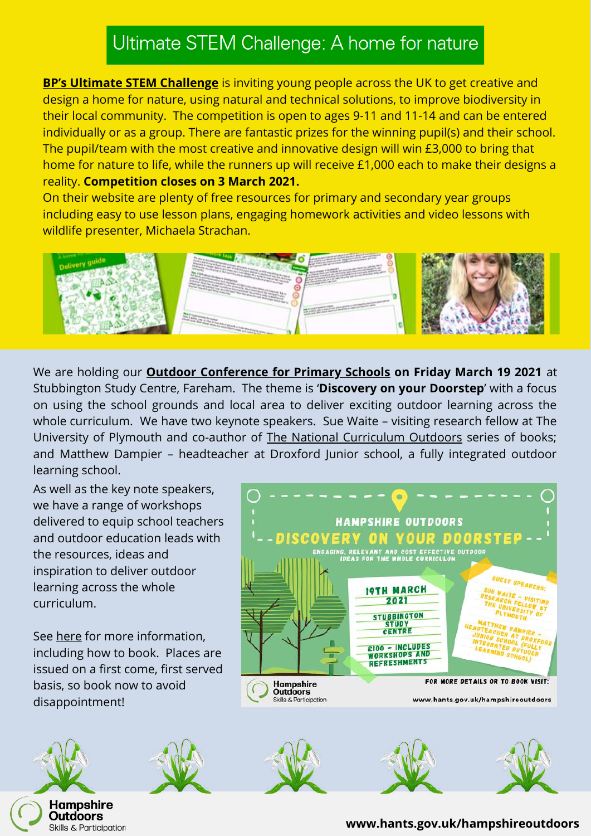## Ultimate STEM Challenge: A home for nature

**[BP's Ultimate STEM Challenge](https://bpes.bp.com/ultimate-stem-challenge)** is inviting young people across the UK to get creative and design a home for nature, using natural and technical solutions, to improve biodiversity in their local community. The competition is open to ages 9-11 and 11-14 and can be entered individually or as a group. There are fantastic prizes for the winning pupil(s) and their school. The pupil/team with the most creative and innovative design will win £3,000 to bring that home for nature to life, while the runners up will receive £1,000 each to make their designs a reality. **Competition closes on 3 March 2021.**

On their website are plenty of free resources for primary and secondary year groups including easy to use lesson plans, engaging homework activities and video lessons with wildlife presenter, Michaela Strachan.



We are holding our **[Outdoor Conference for Primary Schools](https://www.hants.gov.uk/educationandlearning/oe-pe-dofe/outdoor-education/hampshire-pe-conference-discovery) on Friday March 19 2021** at Stubbington Study Centre, Fareham. The theme is '**Discovery on your Doorstep**' with a focus on using the school grounds and local area to deliver exciting outdoor learning across the whole curriculum. We have two keynote speakers. Sue Waite – visiting research fellow at The University of Plymouth and co-author of [The National Curriculum Outdoors](https://www.bloomsbury.com/cw/the-national-curriculum-outdoors/) series of books; and Matthew Dampier – headteacher at Droxford Junior school, a fully integrated outdoor learning school.

As well as the key note speakers, we have a range of workshops delivered to equip school teachers and outdoor education leads with the resources, ideas and inspiration to deliver outdoor learning across the whole curriculum.

See [here](https://www.hants.gov.uk/educationandlearning/oe-pe-dofe/outdoor-education/hampshire-pe-conference-discovery) for more information, including how to book. Places are issued on a first come, first served basis, so book now to avoid disappointment!

Hampshire **Outdoors Skills & Participation** 





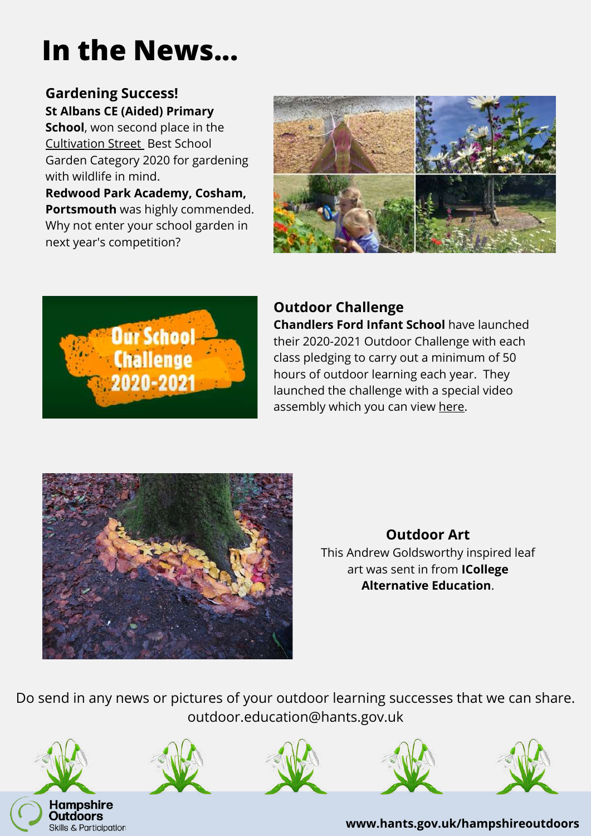# **In the News...**

#### **Gardening Success! St Albans CE (Aided) Primary**

**School**, won second place in the [Cultivation Street](https://cultivationstreet.com/schools-information/) Best School Garden Category 2020 for gardening with wildlife in mind.

**Redwood Park Academy, Cosham, Portsmouth** was highly commended. Why not enter your school garden in next year's competition?





#### **Outdoor Challenge Chandlers Ford Infant School** have launched their 2020-2021 Outdoor Challenge with each class pledging to carry out a minimum of 50 hours of outdoor learning each year. They launched the challenge with a special video assembly which you can view [here](https://www.chandlersford-inf.hants.sch.uk/outdoor-learning/).



#### **Outdoor Art** This Andrew Goldsworthy inspired leaf art was sent in from **ICollege Alternative Education**.

Do send in any news or pictures of your outdoor learning successes that we can share. outdoor.education@hants.gov.uk

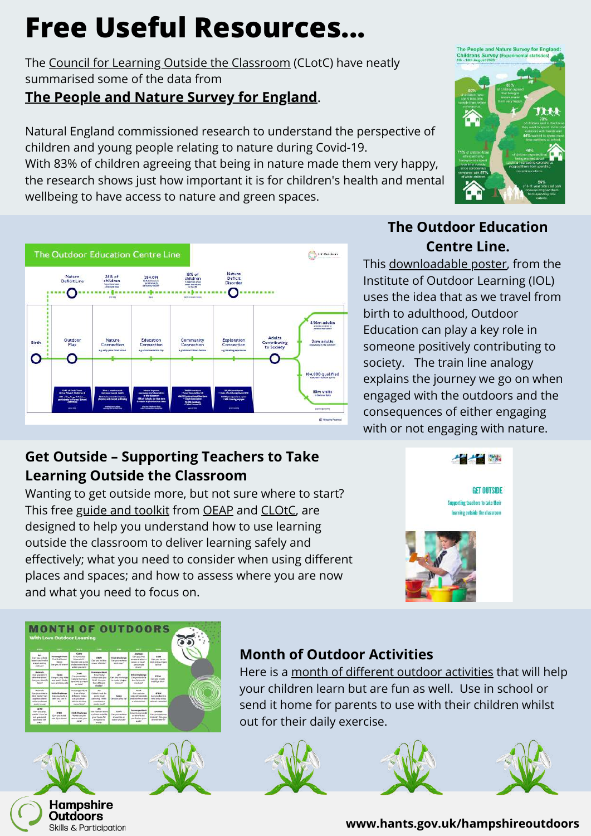# **Free Useful Resources...**

The [Council for Learning Outside the Classroom](https://www.lotc.org.uk/) (CLotC) have neatly summarised some of the data from

#### **The People and Nature Survey for [England](https://www.gov.uk/government/publications/the-people-and-nature-survey-for-england-child-data-wave-1-experimental-statistics/the-people-and-nature-survey-for-england-childrens-survey-experimental-statistics)**.

Natural England commissioned research to understand the perspective of children and young people relating to nature during Covid-19.

With 83% of children agreeing that being in nature made them very happy, the research shows just how important it is for children's health and mental wellbeing to have access to nature and green spaces.



#### **Get Outside – Supporting Teachers to Take Learning Outside the Classroom**

Wanting to get outside more, but not sure where to start? This free [guide and toolkit](https://www.lotc.org.uk/get-outside-toolkit/) from [OEAP](https://oeapng.info/) and [CLOtC](https://www.lotc.org.uk/), are designed to help you understand how to use learning outside the classroom to deliver learning safely and effectively; what you need to consider when using different places and spaces; and how to assess where you are now and what you need to focus on.

#### **The Outdoor Education Centre Line.**

This [downloadable poster,](https://www.outdoor-learning.org/News/Latest-News/the-outdoor-education-centre-line) from the Institute of Outdoor Learning (IOL) uses the idea that as we travel from birth to adulthood, Outdoor Education can play a key role in someone positively contributing to society. The train line analogy explains the journey we go on when engaged with the outdoors and the consequences of either engaging with or not engaging with nature.



**GET OUTSIDE** Supporting teachers to take their ning outside the classroom



# **MONTH OF OUTDOORS**





#### **Month of Outdoor Activities**

Here is a [month of different outdoor activities](https://loveoutdoorlearning.com/outdoor-learning/a-month-of-outdoor-activities/) that will help your children learn but are fun as well. Use in school or send it home for parents to use with their children whilst out for their daily exercise.





#### **www.hants.gov.uk/hampshireoutdoors**

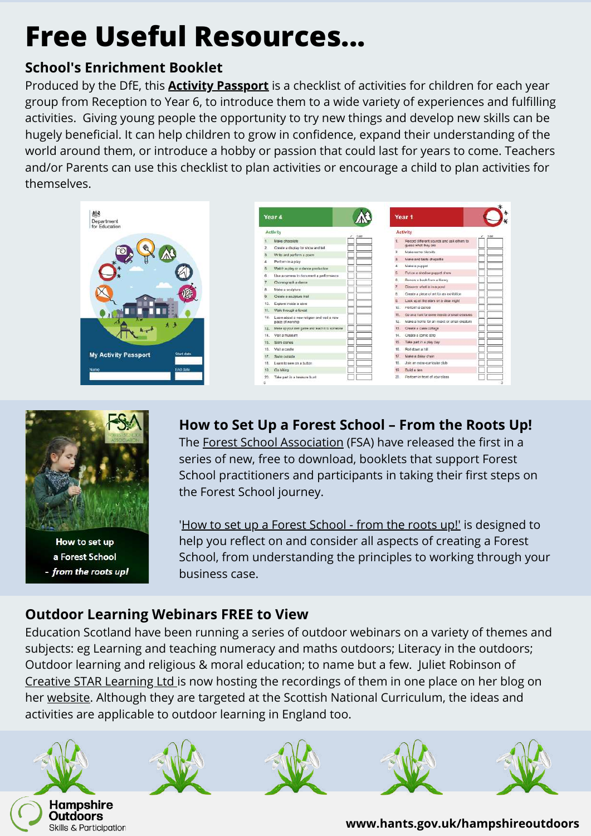# **Free Useful Resources...**

#### **School's Enrichment Booklet**

Produced by the DfE, this **[Activity Passport](https://www.outdoor-learning.org/Portals/0/IOL%20Documents/Teaching%20Outdoors/Schools_Enrichment_Booklet__web%202019-01-02%2010_40_30.pdf?ver=2019-01-02-120311-167)** is a checklist of activities for children for each year group from Reception to Year 6, to introduce them to a wide variety of experiences and fulfilling activities. Giving young people the opportunity to try new things and develop new skills can be hugely beneficial. It can help children to grow in confidence, expand their understanding of the world around them, or introduce a hobby or passion that could last for years to come. Teachers and/or Parents can use this checklist to plan activities or encourage a child to plan activities for themselves.

| Department<br>for Education |            |
|-----------------------------|------------|
|                             |            |
|                             |            |
|                             |            |
|                             | u<br>٠     |
|                             | - 1<br>п.  |
| <b>My Activity Passport</b> | Start date |
| Name                        | End date   |

| Year 4       |                                                | Year 1 |     |                                                   |
|--------------|------------------------------------------------|--------|-----|---------------------------------------------------|
|              | <b>Activity</b>                                | Dale   |     | Activity                                          |
|              | Make chocolate                                 |        | t.  | Record different sounds and ask others to         |
| $\mathbf{z}$ | Create a display for show and tell             |        | z.  | quess what they are<br>Make some biaruits         |
| a            | Write and perform a poem.                      |        |     |                                                   |
| ä            | Perform in a play                              |        | з.  | Make and taste chacettis                          |
| 赤            | Watch a play or a dance production             |        | ä.  | Make a puppet                                     |
| fi.          | Use a camera to document a performance         |        | S.  | Put on a shedow puppet show.                      |
| 7            | Choreograph a dance                            |        | e.  | Bottow a book from a library                      |
| ä            | Make a sculpture                               |        | 7.  | Discover what is in a pond                        |
| ä.           | Create a soulpture trail                       |        | B.  | Create a piece of art for an exhibition           |
| 10.          | Explore inside a cave                          |        | В.  | Look up at the stars on a clear night             |
| 11.          | Walk through a forest                          |        | to. | Perform a dance                                   |
| 12.          | Learn about a new religion and yielt a new     |        | 11. | So on a hunt for come integro or small creatures. |
|              | place of worship                               |        | 12. | Make a home for an insect or small crediture      |
| 83.          | Make up your own game and least it to scineone |        | 13. | Create a class collage                            |
| 14.          | Visit a museum                                 |        | 14. | Create a comic strip                              |
| 15.          | Sitm stones                                    |        | 15  | Take part in a play day                           |
| 16.          | Visit a castle                                 |        | 16. | Roll down a hB                                    |
| 17.          | Swim outside                                   |        | 17  | Make a daisy chain                                |
| 18.          | Learn to sew on a button                       |        | 18  | Join an extra-curricular club                     |
| 59           | Go hiking                                      |        | 18  | <b>Build a den</b>                                |
| 20<br>c.     | Take part in a treasure hurd.                  |        | 20. | Perform in front of your class                    |



How to set up a Forest School - from the roots up!

### **How to Set Up a Forest School – From the Roots Up!**

The [Forest School Association](https://www.forestschoolassociation.org/) (FSA) have released the first in a series of new, free to download, booklets that support Forest School practitioners and participants in taking their first steps on the Forest School journey.

'[How to set up a Forest School - from the roots up!'](https://www.forestschoolassociation.org/how-to-set-up-a-forest-school-from-the-roots-up/#!form/Booknotifications) is designed to help you reflect on and consider all aspects of creating a Forest School, from understanding the principles to working through your business case.

#### **Outdoor Learning Webinars FREE to View**

Education Scotland have been running a series of outdoor webinars on a variety of themes and subjects: eg Learning and teaching numeracy and maths outdoors; Literacy in the outdoors; Outdoor learning and religious & moral education; to name but a few. Juliet Robinson of [Creative STAR Learning Ltd i](https://creativestarlearning.co.uk/)s now hosting the recordings of them in one place on her blog on her [website.](https://creativestarlearning.co.uk/interesting-issues-hot-topics/education-scotland-outdoor-learning-webinars-free-to-view/) Although they are targeted at the Scottish National Curriculum, the ideas and activities are applicable to outdoor learning in England too.











**www.hants.gov.uk/hampshireoutdoors**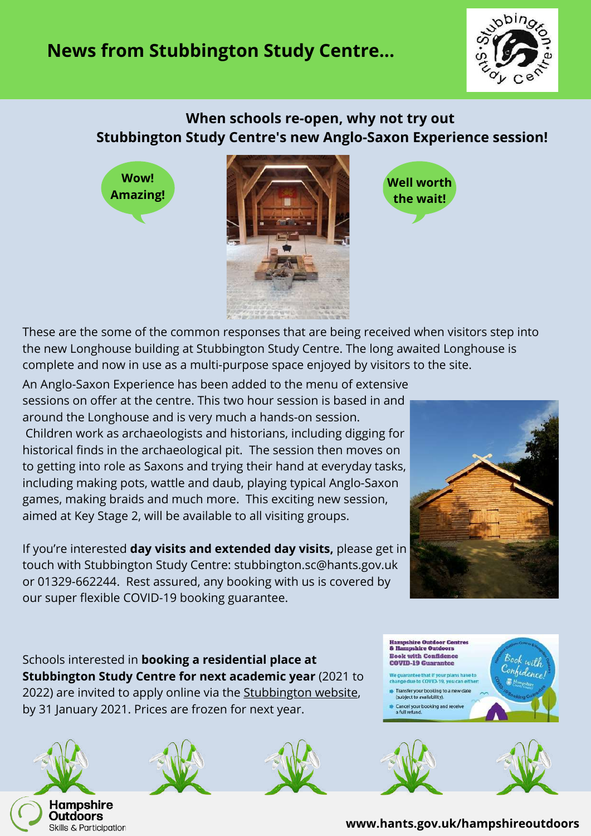## **News from Stubbington Study Centre...**



#### **When schools re-open, why not try out Stubbington Study Centre's new Anglo-Saxon Experience session!**

**Wow! Amazing!**





These are the some of the common responses that are being received when visitors step into the new Longhouse building at Stubbington Study Centre. The long awaited Longhouse is complete and now in use as a multi-purpose space enjoyed by visitors to the site.

An Anglo-Saxon Experience has been added to the menu of extensive sessions on offer at the centre. This two hour session is based in and around the Longhouse and is very much a hands-on session. Children work as archaeologists and historians, including digging for historical finds in the archaeological pit. The session then moves on to getting into role as Saxons and trying their hand at everyday tasks, including making pots, wattle and daub, playing typical Anglo-Saxon games, making braids and much more. This exciting new session, aimed at Key Stage 2, will be available to all visiting groups.

If you're interested **day visits and extended day visits,** please get in touch with Stubbington Study Centre: stubbington.sc@hants.gov.uk or 01329-662244. Rest assured, any booking with us is covered by our super flexible COVID-19 booking guarantee.



Schools interested in **booking a residential place at Stubbington Study Centre for next academic year** (2021 to 2022) are invited to apply online via the [Stubbington website](https://www.hants.gov.uk/en/educationandlearning/stubbingtonstudycentre), by 31 January 2021. Prices are frozen for next year.

Hampshire **Outdoors** Skills & Participation





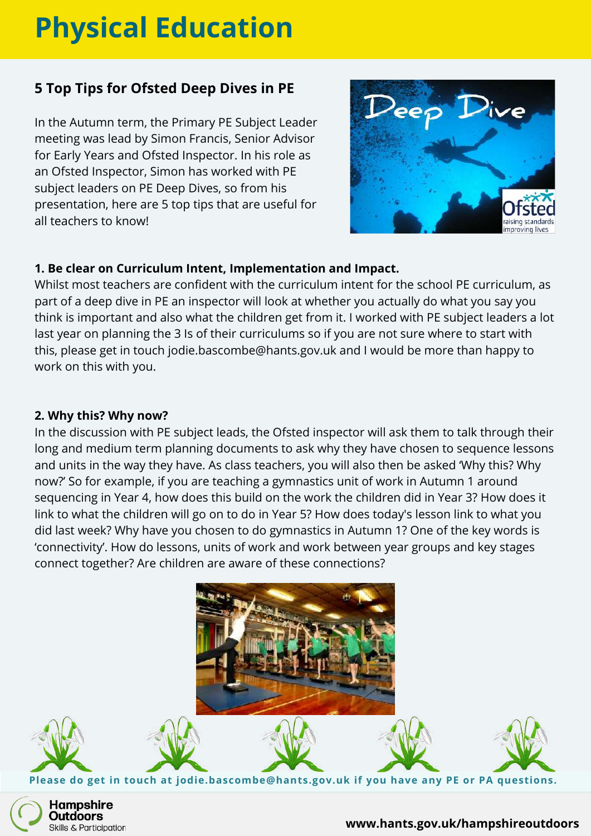# **Physical Education**

#### **5 Top Tips for Ofsted Deep Dives in PE**

In the Autumn term, the Primary PE Subject Leader meeting was lead by Simon Francis, Senior Advisor for Early Years and Ofsted Inspector. In his role as an Ofsted Inspector, Simon has worked with PE subject leaders on PE Deep Dives, so from his presentation, here are 5 top tips that are useful for all teachers to know!



#### **1. Be clear on Curriculum Intent, Implementation and Impact.**

Whilst most teachers are confident with the curriculum intent for the school PE curriculum, as part of a deep dive in PE an inspector will look at whether you actually do what you say you think is important and also what the children get from it. I worked with PE subject leaders a lot last year on planning the 3 Is of their curriculums so if you are not sure where to start with this, please get in touch jodie.bascombe@hants.gov.uk and I would be more than happy to work on this with you.

#### **2. Why this? Why now?**

In the discussion with PE subject leads, the Ofsted inspector will ask them to talk through their long and medium term planning documents to ask why they have chosen to sequence lessons and units in the way they have. As class teachers, you will also then be asked 'Why this? Why now?' So for example, if you are teaching a gymnastics unit of work in Autumn 1 around sequencing in Year 4, how does this build on the work the children did in Year 3? How does it link to what the children will go on to do in Year 5? How does today's lesson link to what you did last week? Why have you chosen to do gymnastics in Autumn 1? One of the key words is 'connectivity'. How do lessons, units of work and work between year groups and key stages connect together? Are children are aware of these connections?



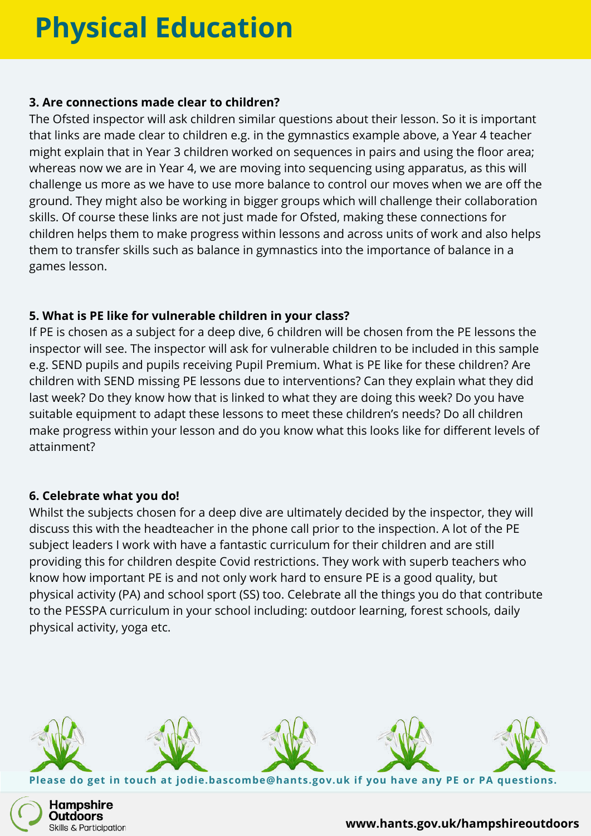## **Physical Education**

#### **3. Are connections made clear to children?**

The Ofsted inspector will ask children similar questions about their lesson. So it is important that links are made clear to children e.g. in the gymnastics example above, a Year 4 teacher might explain that in Year 3 children worked on sequences in pairs and using the floor area; whereas now we are in Year 4, we are moving into sequencing using apparatus, as this will challenge us more as we have to use more balance to control our moves when we are off the ground. They might also be working in bigger groups which will challenge their collaboration skills. Of course these links are not just made for Ofsted, making these connections for children helps them to make progress within lessons and across units of work and also helps them to transfer skills such as balance in gymnastics into the importance of balance in a games lesson.

#### **5. What is PE like for vulnerable children in your class?**

If PE is chosen as a subject for a deep dive, 6 children will be chosen from the PE lessons the inspector will see. The inspector will ask for vulnerable children to be included in this sample e.g. SEND pupils and pupils receiving Pupil Premium. What is PE like for these children? Are children with SEND missing PE lessons due to interventions? Can they explain what they did last week? Do they know how that is linked to what they are doing this week? Do you have suitable equipment to adapt these lessons to meet these children's needs? Do all children make progress within your lesson and do you know what this looks like for different levels of attainment?

#### **6. Celebrate what you do!**

Whilst the subjects chosen for a deep dive are ultimately decided by the inspector, they will discuss this with the headteacher in the phone call prior to the inspection. A lot of the PE subject leaders I work with have a fantastic curriculum for their children and are still providing this for children despite Covid restrictions. They work with superb teachers who know how important PE is and not only work hard to ensure PE is a good quality, but physical activity (PA) and school sport (SS) too. Celebrate all the things you do that contribute to the PESSPA curriculum in your school including: outdoor learning, forest schools, daily physical activity, yoga etc.



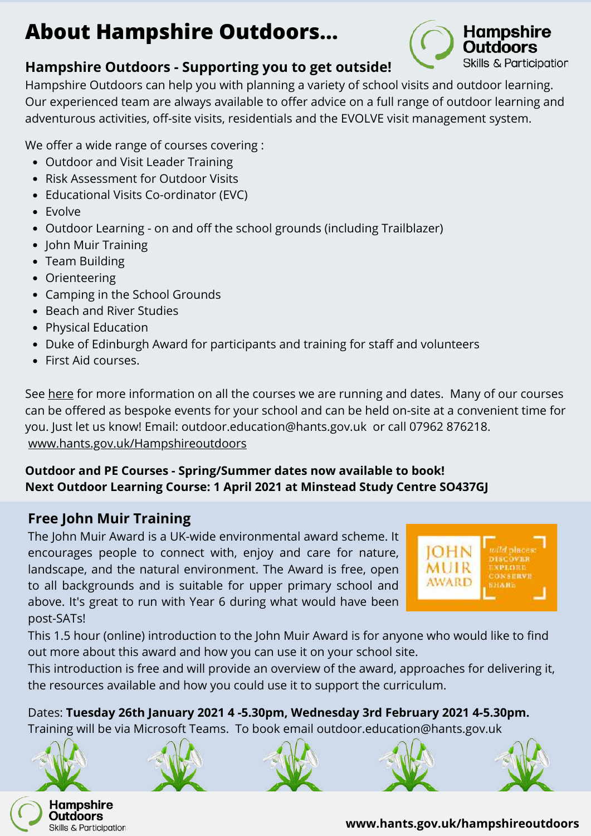## **About Hampshire Outdoors...**



#### **Hampshire Outdoors - Supporting you to get outside!**

Hampshire Outdoors can help you with planning a variety of school visits and outdoor learning. Our experienced team are always available to offer advice on a full range of outdoor learning and adventurous activities, off-site visits, residentials and the EVOLVE visit management system.

We offer a wide range of courses covering :

- Outdoor and Visit Leader Training
- Risk Assessment for Outdoor Visits
- Educational Visits Co-ordinator (EVC)
- Evolve
- Outdoor Learning on and off the school grounds (including Trailblazer)
- John Muir Training
- Team Building
- Orienteering
- Camping in the School Grounds
- Beach and River Studies
- Physical Education
- Duke of Edinburgh Award for participants and training for staff and volunteers
- First Aid courses.

See [here](https://sway.office.com/xBlI5Oin7Q2l4MMH?ref=Link&loc=play) for more information on all the courses we are running and dates. Many of our courses can be offered as bespoke events for your school and can be held on-site at a convenient time for you. Just let us know! Email: outdoor.education@hants.gov.uk or call 07962 876218. [www.hants.gov.uk/Hampshireoutdoors](http://www.hants.gov.uk/Hampshireoutdoors)

#### **Outdoor and PE Courses - Spring/Summer dates now available to book! Next Outdoor Learning Course: 1 April 2021 at Minstead Study Centre SO437GJ**

#### **Free John Muir Training**

The John Muir Award is a UK-wide environmental award scheme. It encourages people to connect with, enjoy and care for nature, landscape, and the natural environment. The Award is free, open to all backgrounds and is suitable for upper primary school and above. It's great to run with Year 6 during what would have been post-SATs!



This 1.5 hour (online) introduction to the John Muir Award is for anyone who would like to find out more about this award and how you can use it on your school site.

This introduction is free and will provide an overview of the award, approaches for delivering it, the resources available and how you could use it to support the curriculum.

Dates: **Tuesday 26th January 2021 4 -5.30pm, Wednesday 3rd February 2021 4-5.30pm.** Training will be via Microsoft Teams. To book email outdoor.education@hants.gov.uk



Skills & Participation